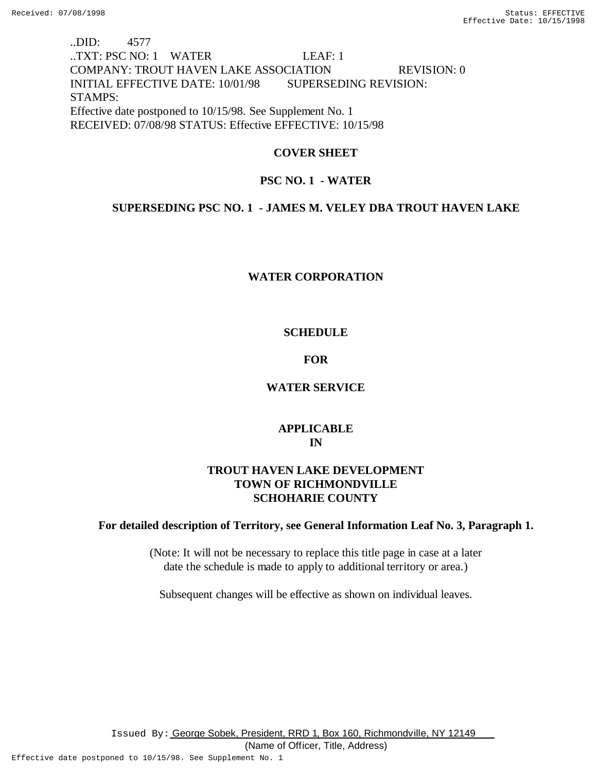# ..DID: 4577 ..TXT: PSC NO: 1 WATER LEAF: 1 COMPANY: TROUT HAVEN LAKE ASSOCIATION REVISION: 0 INITIAL EFFECTIVE DATE: 10/01/98 SUPERSEDING REVISION: STAMPS: Effective date postponed to 10/15/98. See Supplement No. 1 RECEIVED: 07/08/98 STATUS: Effective EFFECTIVE: 10/15/98

## **COVER SHEET**

## **PSC NO. 1 - WATER**

## **SUPERSEDING PSC NO. 1 - JAMES M. VELEY DBA TROUT HAVEN LAKE**

## **WATER CORPORATION**

## **SCHEDULE**

### **FOR**

## **WATER SERVICE**

# **APPLICABLE IN**

## **TROUT HAVEN LAKE DEVELOPMENT TOWN OF RICHMONDVILLE SCHOHARIE COUNTY**

## **For detailed description of Territory, see General Information Leaf No. 3, Paragraph 1.**

(Note: It will not be necessary to replace this title page in case at a later date the schedule is made to apply to additional territory or area.)

Subsequent changes will be effective as shown on individual leaves.

Issued By: George Sobek, President, RRD 1, Box 160, Richmondville, NY 12149

(Name of Officer, Title, Address)

Effective date postponed to 10/15/98. See Supplement No. 1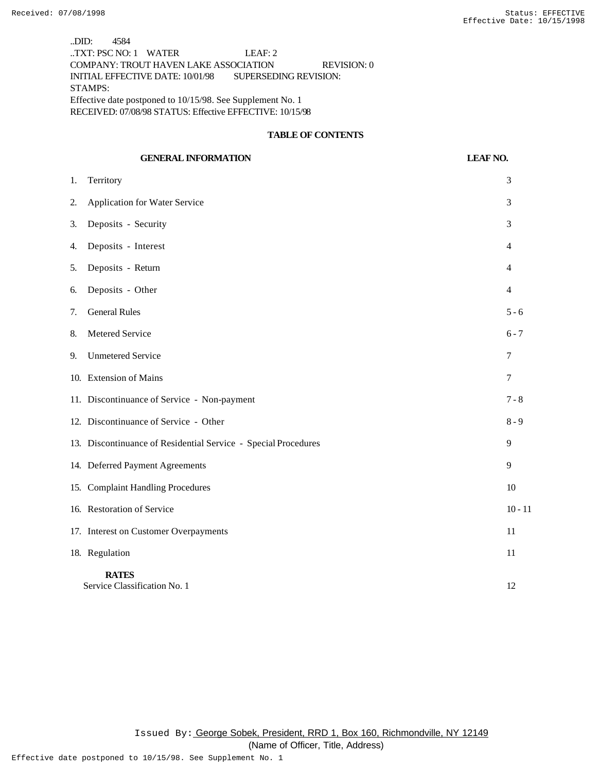..DID: 4584 ..TXT: PSC NO: 1 WATER LEAF: 2 COMPANY: TROUT HAVEN LAKE ASSOCIATION REVISION: 0 INITIAL EFFECTIVE DATE: 10/01/98 SUPERSEDING REVISION: STAMPS: Effective date postponed to 10/15/98. See Supplement No. 1 RECEIVED: 07/08/98 STATUS: Effective EFFECTIVE: 10/15/98

### **TABLE OF CONTENTS**

|    | <b>GENERAL INFORMATION</b>                                     | <b>LEAF NO.</b> |
|----|----------------------------------------------------------------|-----------------|
| 1. | Territory                                                      | 3               |
| 2. | Application for Water Service                                  | 3               |
| 3. | Deposits - Security                                            | 3               |
| 4. | Deposits - Interest                                            | $\overline{4}$  |
| 5. | Deposits - Return                                              | 4               |
| 6. | Deposits - Other                                               | 4               |
| 7. | <b>General Rules</b>                                           | $5 - 6$         |
| 8. | Metered Service                                                | $6 - 7$         |
| 9. | <b>Unmetered Service</b>                                       | 7               |
|    | 10. Extension of Mains                                         | 7               |
|    | 11. Discontinuance of Service - Non-payment                    | $7 - 8$         |
|    | 12. Discontinuance of Service - Other                          | $8 - 9$         |
|    | 13. Discontinuance of Residential Service - Special Procedures | 9               |
|    | 14. Deferred Payment Agreements                                | 9               |
|    | 15. Complaint Handling Procedures                              | 10              |
|    | 16. Restoration of Service                                     | $10 - 11$       |
|    | 17. Interest on Customer Overpayments                          | 11              |
|    | 18. Regulation                                                 | 11              |
|    | <b>RATES</b><br>Service Classification No. 1                   | 12              |

Issued By: George Sobek, President, RRD 1, Box 160, Richmondville, NY 12149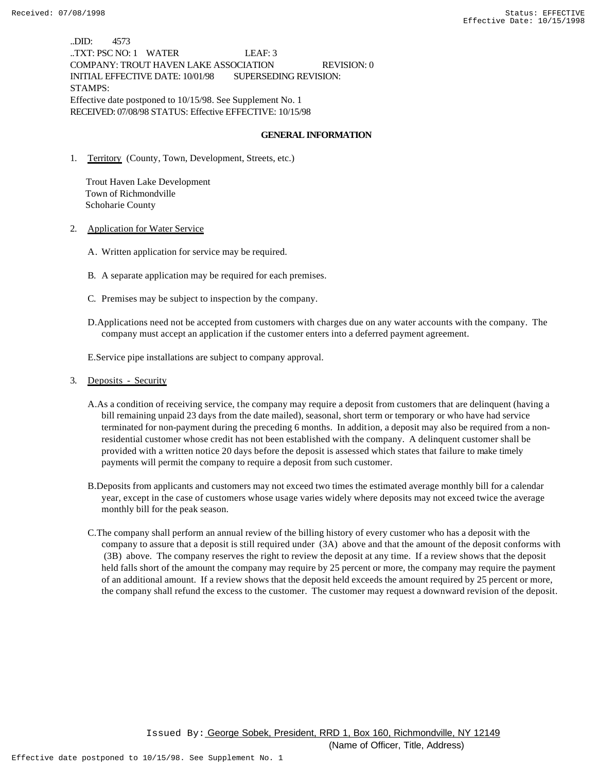..DID: 4573 ..TXT: PSC NO: 1 WATER LEAF: 3 COMPANY: TROUT HAVEN LAKE ASSOCIATION REVISION: 0 INITIAL EFFECTIVE DATE: 10/01/98 SUPERSEDING REVISION: STAMPS: Effective date postponed to 10/15/98. See Supplement No. 1 RECEIVED: 07/08/98 STATUS: Effective EFFECTIVE: 10/15/98

#### **GENERAL INFORMATION**

1. Territory (County, Town, Development, Streets, etc.)

 Trout Haven Lake Development Town of Richmondville Schoharie County

2. Application for Water Service

- A. Written application for service may be required.
- B. A separate application may be required for each premises.
- C. Premises may be subject to inspection by the company.
- D.Applications need not be accepted from customers with charges due on any water accounts with the company. The company must accept an application if the customer enters into a deferred payment agreement.

E.Service pipe installations are subject to company approval.

#### 3. Deposits - Security

- A.As a condition of receiving service, the company may require a deposit from customers that are delinquent (having a bill remaining unpaid 23 days from the date mailed), seasonal, short term or temporary or who have had service terminated for non-payment during the preceding 6 months. In addition, a deposit may also be required from a nonresidential customer whose credit has not been established with the company. A delinquent customer shall be provided with a written notice 20 days before the deposit is assessed which states that failure to make timely payments will permit the company to require a deposit from such customer.
- B.Deposits from applicants and customers may not exceed two times the estimated average monthly bill for a calendar year, except in the case of customers whose usage varies widely where deposits may not exceed twice the average monthly bill for the peak season.
- C.The company shall perform an annual review of the billing history of every customer who has a deposit with the company to assure that a deposit is still required under (3A) above and that the amount of the deposit conforms with (3B) above. The company reserves the right to review the deposit at any time. If a review shows that the deposit held falls short of the amount the company may require by 25 percent or more, the company may require the payment of an additional amount. If a review shows that the deposit held exceeds the amount required by 25 percent or more, the company shall refund the excess to the customer. The customer may request a downward revision of the deposit.

 Issued By: George Sobek, President, RRD 1, Box 160, Richmondville, NY 12149 (Name of Officer, Title, Address)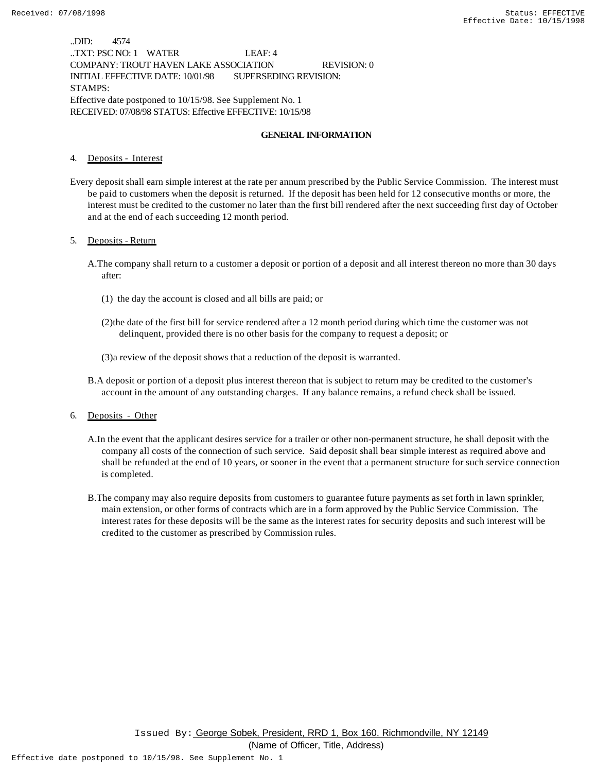..DID: 4574 ..TXT: PSC NO: 1 WATER LEAF: 4 COMPANY: TROUT HAVEN LAKE ASSOCIATION REVISION: 0 INITIAL EFFECTIVE DATE: 10/01/98 SUPERSEDING REVISION: STAMPS: Effective date postponed to 10/15/98. See Supplement No. 1 RECEIVED: 07/08/98 STATUS: Effective EFFECTIVE: 10/15/98

### **GENERAL INFORMATION**

4. Deposits - Interest

Every deposit shall earn simple interest at the rate per annum prescribed by the Public Service Commission. The interest must be paid to customers when the deposit is returned. If the deposit has been held for 12 consecutive months or more, the interest must be credited to the customer no later than the first bill rendered after the next succeeding first day of October and at the end of each succeeding 12 month period.

#### 5. Deposits - Return

- A.The company shall return to a customer a deposit or portion of a deposit and all interest thereon no more than 30 days after:
	- (1) the day the account is closed and all bills are paid; or
	- (2)the date of the first bill for service rendered after a 12 month period during which time the customer was not delinquent, provided there is no other basis for the company to request a deposit; or
	- (3)a review of the deposit shows that a reduction of the deposit is warranted.
- B.A deposit or portion of a deposit plus interest thereon that is subject to return may be credited to the customer's account in the amount of any outstanding charges. If any balance remains, a refund check shall be issued.

6. Deposits - Other

- A.In the event that the applicant desires service for a trailer or other non-permanent structure, he shall deposit with the company all costs of the connection of such service. Said deposit shall bear simple interest as required above and shall be refunded at the end of 10 years, or sooner in the event that a permanent structure for such service connection is completed.
- B.The company may also require deposits from customers to guarantee future payments as set forth in lawn sprinkler, main extension, or other forms of contracts which are in a form approved by the Public Service Commission. The interest rates for these deposits will be the same as the interest rates for security deposits and such interest will be credited to the customer as prescribed by Commission rules.

Issued By: George Sobek, President, RRD 1, Box 160, Richmondville, NY 12149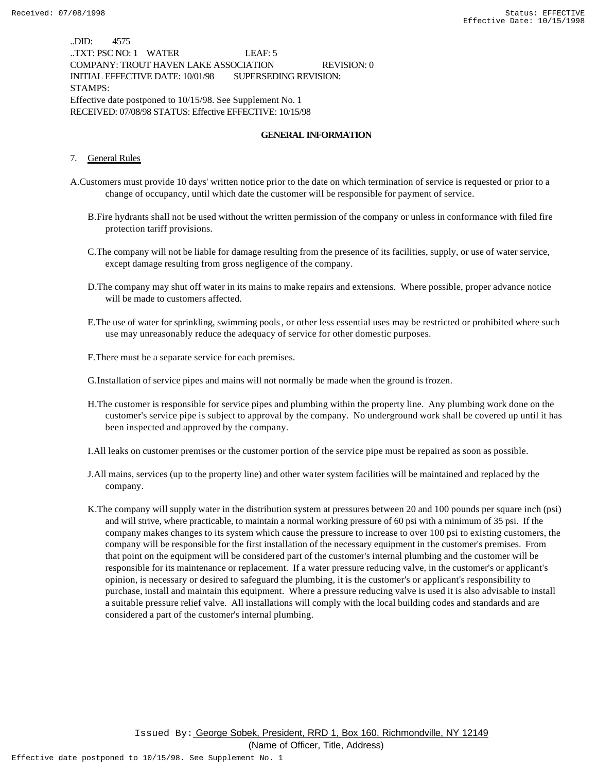..DID: 4575 ..TXT: PSC NO: 1 WATER LEAF: 5 COMPANY: TROUT HAVEN LAKE ASSOCIATION REVISION: 0 INITIAL EFFECTIVE DATE: 10/01/98 SUPERSEDING REVISION: STAMPS: Effective date postponed to 10/15/98. See Supplement No. 1 RECEIVED: 07/08/98 STATUS: Effective EFFECTIVE: 10/15/98

### **GENERAL INFORMATION**

#### 7. General Rules

- A.Customers must provide 10 days' written notice prior to the date on which termination of service is requested or prior to a change of occupancy, until which date the customer will be responsible for payment of service.
	- B.Fire hydrants shall not be used without the written permission of the company or unless in conformance with filed fire protection tariff provisions.
	- C.The company will not be liable for damage resulting from the presence of its facilities, supply, or use of water service, except damage resulting from gross negligence of the company.
	- D.The company may shut off water in its mains to make repairs and extensions. Where possible, proper advance notice will be made to customers affected.
	- E.The use of water for sprinkling, swimming pools, or other less essential uses may be restricted or prohibited where such use may unreasonably reduce the adequacy of service for other domestic purposes.
	- F.There must be a separate service for each premises.
	- G.Installation of service pipes and mains will not normally be made when the ground is frozen.
	- H.The customer is responsible for service pipes and plumbing within the property line. Any plumbing work done on the customer's service pipe is subject to approval by the company. No underground work shall be covered up until it has been inspected and approved by the company.

I.All leaks on customer premises or the customer portion of the service pipe must be repaired as soon as possible.

- J.All mains, services (up to the property line) and other water system facilities will be maintained and replaced by the company.
- K.The company will supply water in the distribution system at pressures between 20 and 100 pounds per square inch (psi) and will strive, where practicable, to maintain a normal working pressure of 60 psi with a minimum of 35 psi. If the company makes changes to its system which cause the pressure to increase to over 100 psi to existing customers, the company will be responsible for the first installation of the necessary equipment in the customer's premises. From that point on the equipment will be considered part of the customer's internal plumbing and the customer will be responsible for its maintenance or replacement. If a water pressure reducing valve, in the customer's or applicant's opinion, is necessary or desired to safeguard the plumbing, it is the customer's or applicant's responsibility to purchase, install and maintain this equipment. Where a pressure reducing valve is used it is also advisable to install a suitable pressure relief valve. All installations will comply with the local building codes and standards and are considered a part of the customer's internal plumbing.

Issued By: George Sobek, President, RRD 1, Box 160, Richmondville, NY 12149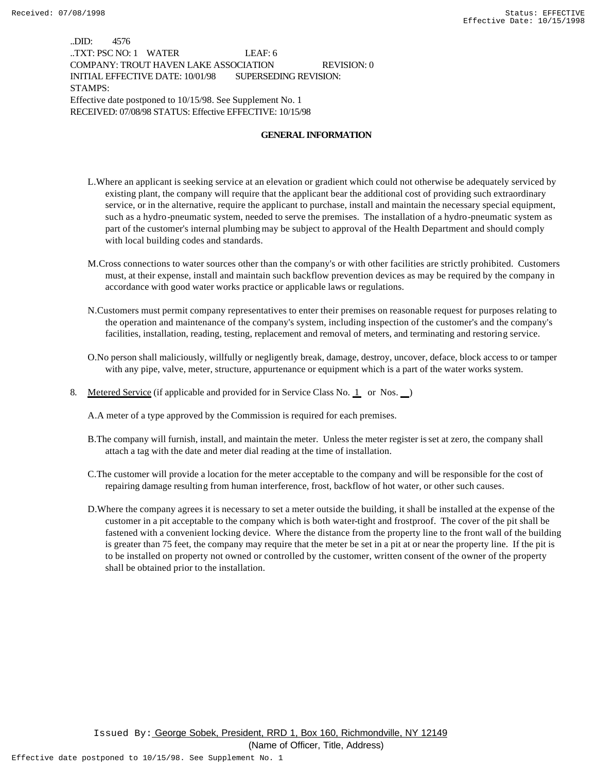..DID: 4576 ..TXT: PSC NO: 1 WATER LEAF: 6 COMPANY: TROUT HAVEN LAKE ASSOCIATION REVISION: 0 INITIAL EFFECTIVE DATE: 10/01/98 SUPERSEDING REVISION: STAMPS: Effective date postponed to 10/15/98. See Supplement No. 1 RECEIVED: 07/08/98 STATUS: Effective EFFECTIVE: 10/15/98

### **GENERAL INFORMATION**

- L.Where an applicant is seeking service at an elevation or gradient which could not otherwise be adequately serviced by existing plant, the company will require that the applicant bear the additional cost of providing such extraordinary service, or in the alternative, require the applicant to purchase, install and maintain the necessary special equipment, such as a hydro-pneumatic system, needed to serve the premises. The installation of a hydro-pneumatic system as part of the customer's internal plumbing may be subject to approval of the Health Department and should comply with local building codes and standards.
- M.Cross connections to water sources other than the company's or with other facilities are strictly prohibited. Customers must, at their expense, install and maintain such backflow prevention devices as may be required by the company in accordance with good water works practice or applicable laws or regulations.
- N.Customers must permit company representatives to enter their premises on reasonable request for purposes relating to the operation and maintenance of the company's system, including inspection of the customer's and the company's facilities, installation, reading, testing, replacement and removal of meters, and terminating and restoring service.
- O.No person shall maliciously, willfully or negligently break, damage, destroy, uncover, deface, block access to or tamper with any pipe, valve, meter, structure, appurtenance or equipment which is a part of the water works system.
- 8. Metered Service (if applicable and provided for in Service Class No. 1 or Nos. )

A.A meter of a type approved by the Commission is required for each premises.

- B.The company will furnish, install, and maintain the meter. Unless the meter register is set at zero, the company shall attach a tag with the date and meter dial reading at the time of installation.
- C.The customer will provide a location for the meter acceptable to the company and will be responsible for the cost of repairing damage resulting from human interference, frost, backflow of hot water, or other such causes.
- D.Where the company agrees it is necessary to set a meter outside the building, it shall be installed at the expense of the customer in a pit acceptable to the company which is both water-tight and frostproof. The cover of the pit shall be fastened with a convenient locking device. Where the distance from the property line to the front wall of the building is greater than 75 feet, the company may require that the meter be set in a pit at or near the property line. If the pit is to be installed on property not owned or controlled by the customer, written consent of the owner of the property shall be obtained prior to the installation.

Issued By: George Sobek, President, RRD 1, Box 160, Richmondville, NY 12149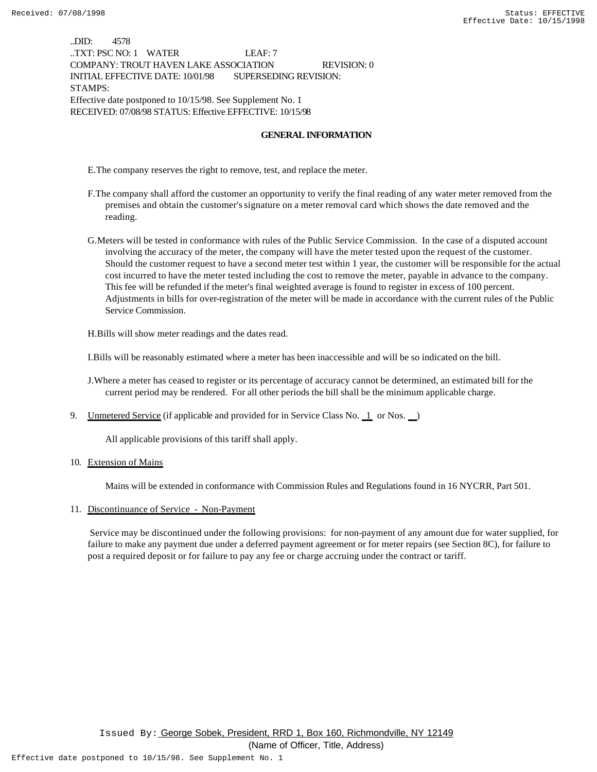..DID: 4578 ..TXT: PSC NO: 1 WATER LEAF: 7 COMPANY: TROUT HAVEN LAKE ASSOCIATION REVISION: 0 INITIAL EFFECTIVE DATE: 10/01/98 SUPERSEDING REVISION: STAMPS: Effective date postponed to 10/15/98. See Supplement No. 1 RECEIVED: 07/08/98 STATUS: Effective EFFECTIVE: 10/15/98

### **GENERAL INFORMATION**

E.The company reserves the right to remove, test, and replace the meter.

- F.The company shall afford the customer an opportunity to verify the final reading of any water meter removed from the premises and obtain the customer's signature on a meter removal card which shows the date removed and the reading.
- G.Meters will be tested in conformance with rules of the Public Service Commission. In the case of a disputed account involving the accuracy of the meter, the company will have the meter tested upon the request of the customer. Should the customer request to have a second meter test within 1 year, the customer will be responsible for the actual cost incurred to have the meter tested including the cost to remove the meter, payable in advance to the company. This fee will be refunded if the meter's final weighted average is found to register in excess of 100 percent. Adjustments in bills for over-registration of the meter will be made in accordance with the current rules of the Public Service Commission.

H.Bills will show meter readings and the dates read.

I.Bills will be reasonably estimated where a meter has been inaccessible and will be so indicated on the bill.

J.Where a meter has ceased to register or its percentage of accuracy cannot be determined, an estimated bill for the current period may be rendered. For all other periods the bill shall be the minimum applicable charge.

9. Unmetered Service (if applicable and provided for in Service Class No.  $\perp$  or Nos.  $\perp$ )

All applicable provisions of this tariff shall apply.

10. Extension of Mains

Mains will be extended in conformance with Commission Rules and Regulations found in 16 NYCRR, Part 501.

11. Discontinuance of Service - Non-Payment

 Service may be discontinued under the following provisions: for non-payment of any amount due for water supplied, for failure to make any payment due under a deferred payment agreement or for meter repairs (see Section 8C), for failure to post a required deposit or for failure to pay any fee or charge accruing under the contract or tariff.

Issued By: George Sobek, President, RRD 1, Box 160, Richmondville, NY 12149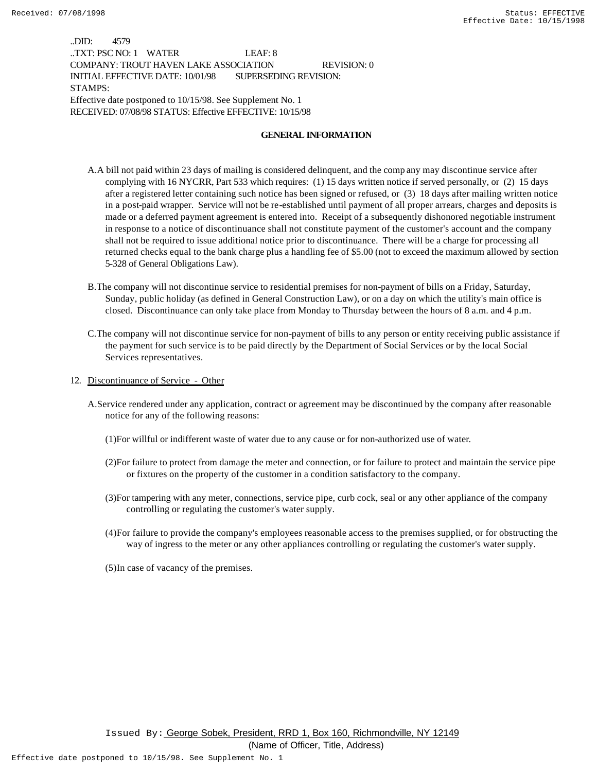..DID: 4579 ..TXT: PSC NO: 1 WATER LEAF: 8 COMPANY: TROUT HAVEN LAKE ASSOCIATION REVISION: 0 INITIAL EFFECTIVE DATE: 10/01/98 SUPERSEDING REVISION: STAMPS: Effective date postponed to 10/15/98. See Supplement No. 1 RECEIVED: 07/08/98 STATUS: Effective EFFECTIVE: 10/15/98

#### **GENERAL INFORMATION**

- A.A bill not paid within 23 days of mailing is considered delinquent, and the comp any may discontinue service after complying with 16 NYCRR, Part 533 which requires: (1) 15 days written notice if served personally, or (2) 15 days after a registered letter containing such notice has been signed or refused, or (3) 18 days after mailing written notice in a post-paid wrapper. Service will not be re-established until payment of all proper arrears, charges and deposits is made or a deferred payment agreement is entered into. Receipt of a subsequently dishonored negotiable instrument in response to a notice of discontinuance shall not constitute payment of the customer's account and the company shall not be required to issue additional notice prior to discontinuance. There will be a charge for processing all returned checks equal to the bank charge plus a handling fee of \$5.00 (not to exceed the maximum allowed by section 5-328 of General Obligations Law).
- B.The company will not discontinue service to residential premises for non-payment of bills on a Friday, Saturday, Sunday, public holiday (as defined in General Construction Law), or on a day on which the utility's main office is closed. Discontinuance can only take place from Monday to Thursday between the hours of 8 a.m. and 4 p.m.
- C.The company will not discontinue service for non-payment of bills to any person or entity receiving public assistance if the payment for such service is to be paid directly by the Department of Social Services or by the local Social Services representatives.
- 12. Discontinuance of Service Other
	- A.Service rendered under any application, contract or agreement may be discontinued by the company after reasonable notice for any of the following reasons:
		- (1)For willful or indifferent waste of water due to any cause or for non-authorized use of water.
		- (2)For failure to protect from damage the meter and connection, or for failure to protect and maintain the service pipe or fixtures on the property of the customer in a condition satisfactory to the company.
		- (3)For tampering with any meter, connections, service pipe, curb cock, seal or any other appliance of the company controlling or regulating the customer's water supply.
		- (4)For failure to provide the company's employees reasonable access to the premises supplied, or for obstructing the way of ingress to the meter or any other appliances controlling or regulating the customer's water supply.
		- (5)In case of vacancy of the premises.

Issued By: George Sobek, President, RRD 1, Box 160, Richmondville, NY 12149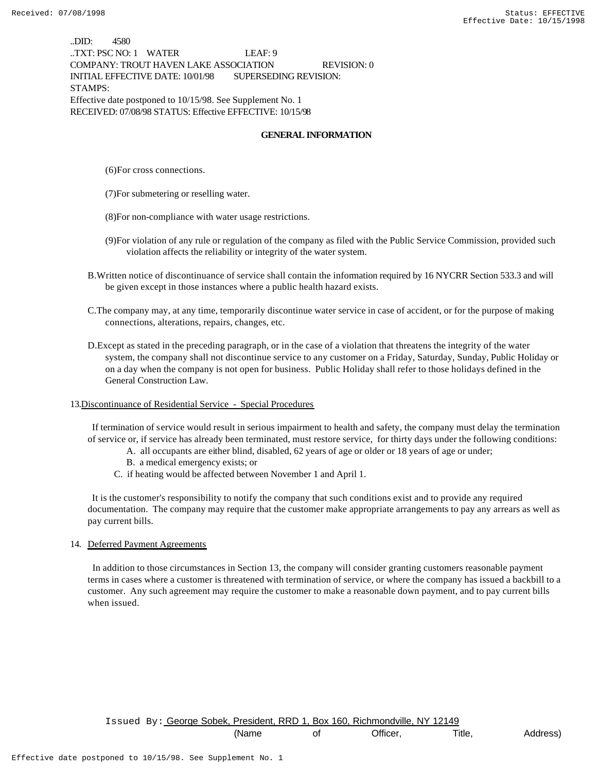..DID: 4580 ..TXT: PSC NO: 1 WATER LEAF: 9 COMPANY: TROUT HAVEN LAKE ASSOCIATION REVISION: 0 INITIAL EFFECTIVE DATE: 10/01/98 SUPERSEDING REVISION: STAMPS: Effective date postponed to 10/15/98. See Supplement No. 1 RECEIVED: 07/08/98 STATUS: Effective EFFECTIVE: 10/15/98

### **GENERAL INFORMATION**

(6)For cross connections.

(7)For submetering or reselling water.

- (8)For non-compliance with water usage restrictions.
- (9)For violation of any rule or regulation of the company as filed with the Public Service Commission, provided such violation affects the reliability or integrity of the water system.
- B.Written notice of discontinuance of service shall contain the information required by 16 NYCRR Section 533.3 and will be given except in those instances where a public health hazard exists.
- C.The company may, at any time, temporarily discontinue water service in case of accident, or for the purpose of making connections, alterations, repairs, changes, etc.
- D.Except as stated in the preceding paragraph, or in the case of a violation that threatens the integrity of the water system, the company shall not discontinue service to any customer on a Friday, Saturday, Sunday, Public Holiday or on a day when the company is not open for business. Public Holiday shall refer to those holidays defined in the General Construction Law.
- 13.Discontinuance of Residential Service Special Procedures

 If termination of service would result in serious impairment to health and safety, the company must delay the termination of service or, if service has already been terminated, must restore service, for thirty days under the following conditions:

- A. all occupants are either blind, disabled, 62 years of age or older or 18 years of age or under;
- B. a medical emergency exists; or
- C. if heating would be affected between November 1 and April 1.

 It is the customer's responsibility to notify the company that such conditions exist and to provide any required documentation. The company may require that the customer make appropriate arrangements to pay any arrears as well as pay current bills.

#### 14. Deferred Payment Agreements

 In addition to those circumstances in Section 13, the company will consider granting customers reasonable payment terms in cases where a customer is threatened with termination of service, or where the company has issued a backbill to a customer. Any such agreement may require the customer to make a reasonable down payment, and to pay current bills when issued.

Issued By: George Sobek, President, RRD 1, Box 160, Richmondville, NY 12149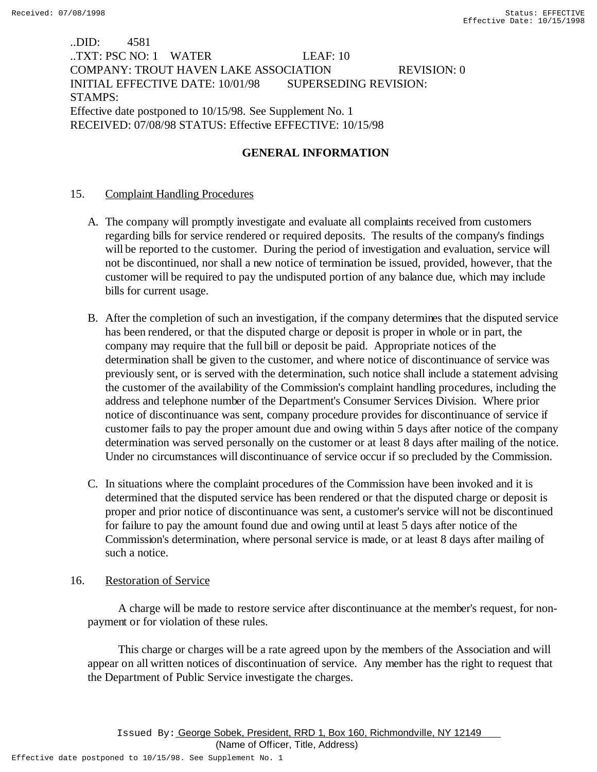# ..DID: 4581 ..TXT: PSC NO: 1 WATER LEAF: 10 COMPANY: TROUT HAVEN LAKE ASSOCIATION REVISION: 0 INITIAL EFFECTIVE DATE: 10/01/98 SUPERSEDING REVISION: STAMPS: Effective date postponed to 10/15/98. See Supplement No. 1 RECEIVED: 07/08/98 STATUS: Effective EFFECTIVE: 10/15/98

# **GENERAL INFORMATION**

## 15. Complaint Handling Procedures

- A. The company will promptly investigate and evaluate all complaints received from customers regarding bills for service rendered or required deposits. The results of the company's findings will be reported to the customer. During the period of investigation and evaluation, service will not be discontinued, nor shall a new notice of termination be issued, provided, however, that the customer will be required to pay the undisputed portion of any balance due, which may include bills for current usage.
- B. After the completion of such an investigation, if the company determines that the disputed service has been rendered, or that the disputed charge or deposit is proper in whole or in part, the company may require that the full bill or deposit be paid. Appropriate notices of the determination shall be given to the customer, and where notice of discontinuance of service was previously sent, or is served with the determination, such notice shall include a statement advising the customer of the availability of the Commission's complaint handling procedures, including the address and telephone number of the Department's Consumer Services Division. Where prior notice of discontinuance was sent, company procedure provides for discontinuance of service if customer fails to pay the proper amount due and owing within 5 days after notice of the company determination was served personally on the customer or at least 8 days after mailing of the notice. Under no circumstances will discontinuance of service occur if so precluded by the Commission.
- C. In situations where the complaint procedures of the Commission have been invoked and it is determined that the disputed service has been rendered or that the disputed charge or deposit is proper and prior notice of discontinuance was sent, a customer's service will not be discontinued for failure to pay the amount found due and owing until at least 5 days after notice of the Commission's determination, where personal service is made, or at least 8 days after mailing of such a notice.

### 16. Restoration of Service

 A charge will be made to restore service after discontinuance at the member's request, for nonpayment or for violation of these rules.

 This charge or charges will be a rate agreed upon by the members of the Association and will appear on all written notices of discontinuation of service. Any member has the right to request that the Department of Public Service investigate the charges.

Effective date postponed to 10/15/98. See Supplement No. 1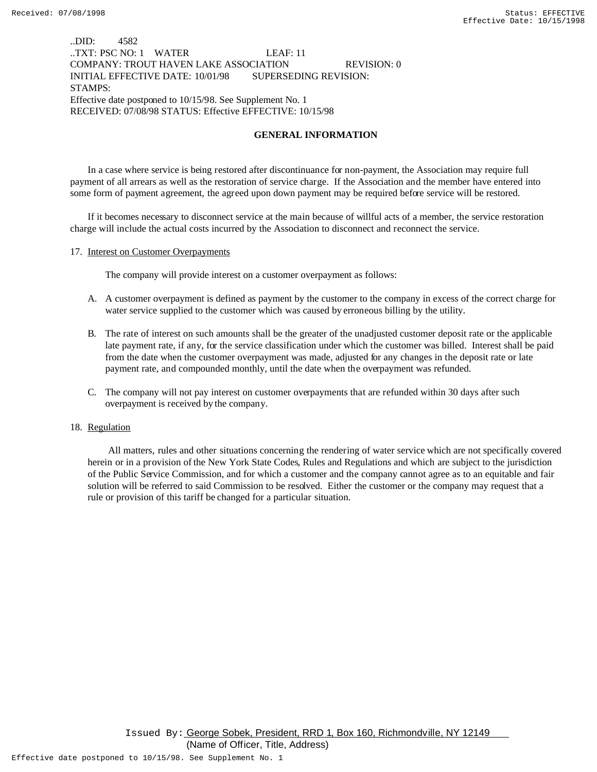### ..DID: 4582 ..TXT: PSC NO: 1 WATER LEAF: 11 COMPANY: TROUT HAVEN LAKE ASSOCIATION REVISION: 0 INITIAL EFFECTIVE DATE: 10/01/98 SUPERSEDING REVISION: STAMPS: Effective date postponed to 10/15/98. See Supplement No. 1 RECEIVED: 07/08/98 STATUS: Effective EFFECTIVE: 10/15/98

### **GENERAL INFORMATION**

In a case where service is being restored after discontinuance for non-payment, the Association may require full payment of all arrears as well as the restoration of service charge. If the Association and the member have entered into some form of payment agreement, the agreed upon down payment may be required before service will be restored.

If it becomes necessary to disconnect service at the main because of willful acts of a member, the service restoration charge will include the actual costs incurred by the Association to disconnect and reconnect the service.

#### 17. Interest on Customer Overpayments

The company will provide interest on a customer overpayment as follows:

- A. A customer overpayment is defined as payment by the customer to the company in excess of the correct charge for water service supplied to the customer which was caused by erroneous billing by the utility.
- B. The rate of interest on such amounts shall be the greater of the unadjusted customer deposit rate or the applicable late payment rate, if any, for the service classification under which the customer was billed. Interest shall be paid from the date when the customer overpayment was made, adjusted for any changes in the deposit rate or late payment rate, and compounded monthly, until the date when the overpayment was refunded.
- C. The company will not pay interest on customer overpayments that are refunded within 30 days after such overpayment is received by the company.

#### 18. Regulation

 All matters, rules and other situations concerning the rendering of water service which are not specifically covered herein or in a provision of the New York State Codes, Rules and Regulations and which are subject to the jurisdiction of the Public Service Commission, and for which a customer and the company cannot agree as to an equitable and fair solution will be referred to said Commission to be resolved. Either the customer or the company may request that a rule or provision of this tariff be changed for a particular situation.

Issued By: George Sobek, President, RRD 1, Box 160, Richmondville, NY 12149